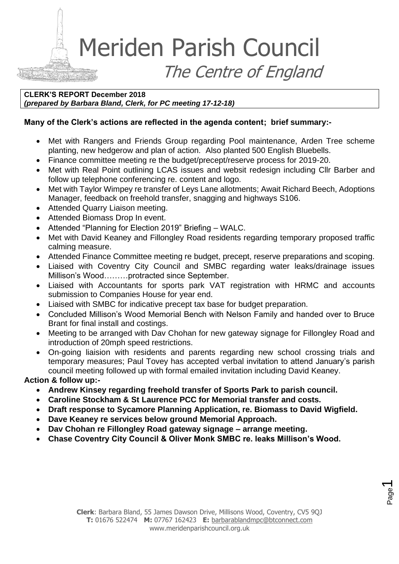Meriden Parish Council The Centre of England

**CLERK'S REPORT December 2018** *(prepared by Barbara Bland, Clerk, for PC meeting 17-12-18)*

### **Many of the Clerk's actions are reflected in the agenda content; brief summary:-**

- Met with Rangers and Friends Group regarding Pool maintenance, Arden Tree scheme planting, new hedgerow and plan of action. Also planted 500 English Bluebells.
- Finance committee meeting re the budget/precept/reserve process for 2019-20.
- Met with Real Point outlining LCAS issues and websit redesign including Cllr Barber and follow up telephone conferencing re. content and logo.
- Met with Taylor Wimpey re transfer of Leys Lane allotments; Await Richard Beech, Adoptions Manager, feedback on freehold transfer, snagging and highways S106.
- Attended Quarry Liaison meeting.
- Attended Biomass Drop In event.
- Attended "Planning for Election 2019" Briefing WALC.
- Met with David Keaney and Fillongley Road residents regarding temporary proposed traffic calming measure.
- Attended Finance Committee meeting re budget, precept, reserve preparations and scoping.
- Liaised with Coventry City Council and SMBC regarding water leaks/drainage issues Millison's Wood………protracted since September.
- Liaised with Accountants for sports park VAT registration with HRMC and accounts submission to Companies House for year end.
- Liaised with SMBC for indicative precept tax base for budget preparation.
- Concluded Millison's Wood Memorial Bench with Nelson Family and handed over to Bruce Brant for final install and costings.
- Meeting to be arranged with Dav Chohan for new gateway signage for Fillongley Road and introduction of 20mph speed restrictions.
- On-going liaision with residents and parents regarding new school crossing trials and temporary measures; Paul Tovey has accepted verbal invitation to attend January's parish council meeting followed up with formal emailed invitation including David Keaney.

#### **Action & follow up:-**

- **Andrew Kinsey regarding freehold transfer of Sports Park to parish council.**
- **Caroline Stockham & St Laurence PCC for Memorial transfer and costs.**
- **Draft response to Sycamore Planning Application, re. Biomass to David Wigfield.**
- **Dave Keaney re services below ground Memorial Approach.**
- **Dav Chohan re Fillongley Road gateway signage – arrange meeting.**
- **Chase Coventry City Council & Oliver Monk SMBC re. leaks Millison's Wood.**